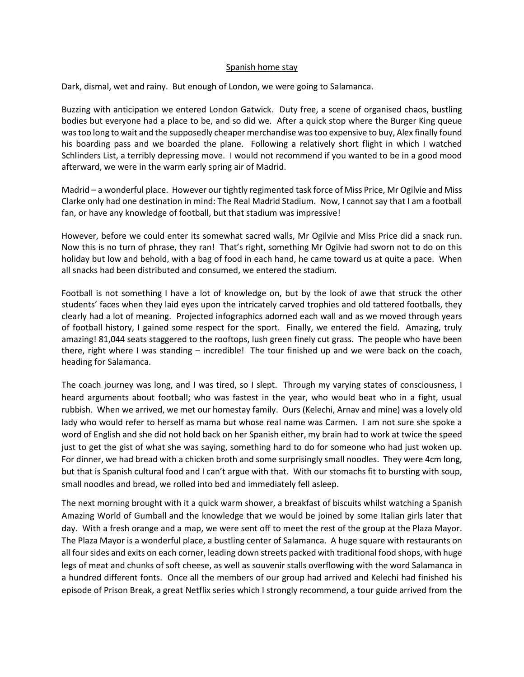## Spanish home stay

Dark, dismal, wet and rainy. But enough of London, we were going to Salamanca.

Buzzing with anticipation we entered London Gatwick. Duty free, a scene of organised chaos, bustling bodies but everyone had a place to be, and so did we. After a quick stop where the Burger King queue was too long to wait and the supposedly cheaper merchandise was too expensive to buy, Alex finally found his boarding pass and we boarded the plane. Following a relatively short flight in which I watched Schlinders List, a terribly depressing move. I would not recommend if you wanted to be in a good mood afterward, we were in the warm early spring air of Madrid.

Madrid – a wonderful place. However our tightly regimented task force of Miss Price, Mr Ogilvie and Miss Clarke only had one destination in mind: The Real Madrid Stadium. Now, I cannot say that I am a football fan, or have any knowledge of football, but that stadium was impressive!

However, before we could enter its somewhat sacred walls, Mr Ogilvie and Miss Price did a snack run. Now this is no turn of phrase, they ran! That's right, something Mr Ogilvie had sworn not to do on this holiday but low and behold, with a bag of food in each hand, he came toward us at quite a pace. When all snacks had been distributed and consumed, we entered the stadium.

Football is not something I have a lot of knowledge on, but by the look of awe that struck the other students' faces when they laid eyes upon the intricately carved trophies and old tattered footballs, they clearly had a lot of meaning. Projected infographics adorned each wall and as we moved through years of football history, I gained some respect for the sport. Finally, we entered the field. Amazing, truly amazing! 81,044 seats staggered to the rooftops, lush green finely cut grass. The people who have been there, right where I was standing – incredible! The tour finished up and we were back on the coach, heading for Salamanca.

The coach journey was long, and I was tired, so I slept. Through my varying states of consciousness, I heard arguments about football; who was fastest in the year, who would beat who in a fight, usual rubbish. When we arrived, we met our homestay family. Ours (Kelechi, Arnav and mine) was a lovely old lady who would refer to herself as mama but whose real name was Carmen. I am not sure she spoke a word of English and she did not hold back on her Spanish either, my brain had to work at twice the speed just to get the gist of what she was saying, something hard to do for someone who had just woken up. For dinner, we had bread with a chicken broth and some surprisingly small noodles. They were 4cm long, but that is Spanish cultural food and I can't argue with that. With our stomachs fit to bursting with soup, small noodles and bread, we rolled into bed and immediately fell asleep.

The next morning brought with it a quick warm shower, a breakfast of biscuits whilst watching a Spanish Amazing World of Gumball and the knowledge that we would be joined by some Italian girls later that day. With a fresh orange and a map, we were sent off to meet the rest of the group at the Plaza Mayor. The Plaza Mayor is a wonderful place, a bustling center of Salamanca. A huge square with restaurants on all four sides and exits on each corner, leading down streets packed with traditional food shops, with huge legs of meat and chunks of soft cheese, as well as souvenir stalls overflowing with the word Salamanca in a hundred different fonts. Once all the members of our group had arrived and Kelechi had finished his episode of Prison Break, a great Netflix series which I strongly recommend, a tour guide arrived from the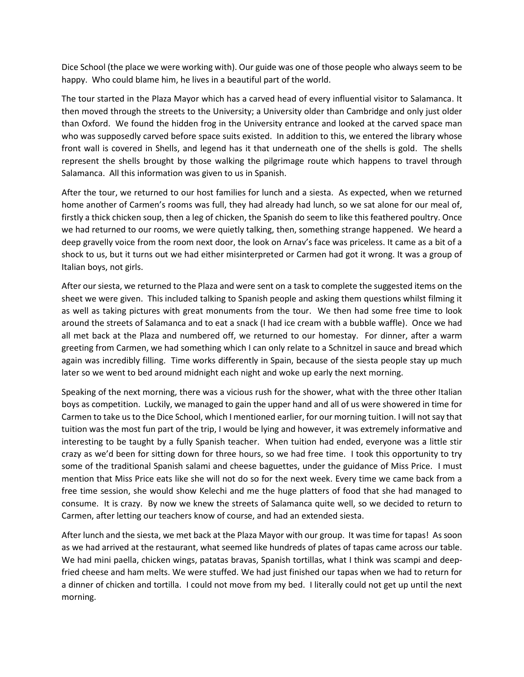Dice School (the place we were working with). Our guide was one of those people who always seem to be happy. Who could blame him, he lives in a beautiful part of the world.

The tour started in the Plaza Mayor which has a carved head of every influential visitor to Salamanca. It then moved through the streets to the University; a University older than Cambridge and only just older than Oxford. We found the hidden frog in the University entrance and looked at the carved space man who was supposedly carved before space suits existed. In addition to this, we entered the library whose front wall is covered in Shells, and legend has it that underneath one of the shells is gold. The shells represent the shells brought by those walking the pilgrimage route which happens to travel through Salamanca. All this information was given to us in Spanish.

After the tour, we returned to our host families for lunch and a siesta. As expected, when we returned home another of Carmen's rooms was full, they had already had lunch, so we sat alone for our meal of, firstly a thick chicken soup, then a leg of chicken, the Spanish do seem to like this feathered poultry. Once we had returned to our rooms, we were quietly talking, then, something strange happened. We heard a deep gravelly voice from the room next door, the look on Arnav's face was priceless. It came as a bit of a shock to us, but it turns out we had either misinterpreted or Carmen had got it wrong. It was a group of Italian boys, not girls.

After our siesta, we returned to the Plaza and were sent on a task to complete the suggested items on the sheet we were given. This included talking to Spanish people and asking them questions whilst filming it as well as taking pictures with great monuments from the tour. We then had some free time to look around the streets of Salamanca and to eat a snack (I had ice cream with a bubble waffle). Once we had all met back at the Plaza and numbered off, we returned to our homestay. For dinner, after a warm greeting from Carmen, we had something which I can only relate to a Schnitzel in sauce and bread which again was incredibly filling. Time works differently in Spain, because of the siesta people stay up much later so we went to bed around midnight each night and woke up early the next morning.

Speaking of the next morning, there was a vicious rush for the shower, what with the three other Italian boys as competition. Luckily, we managed to gain the upper hand and all of us were showered in time for Carmen to take us to the Dice School, which I mentioned earlier, for our morning tuition. I will not say that tuition was the most fun part of the trip, I would be lying and however, it was extremely informative and interesting to be taught by a fully Spanish teacher. When tuition had ended, everyone was a little stir crazy as we'd been for sitting down for three hours, so we had free time. I took this opportunity to try some of the traditional Spanish salami and cheese baguettes, under the guidance of Miss Price. I must mention that Miss Price eats like she will not do so for the next week. Every time we came back from a free time session, she would show Kelechi and me the huge platters of food that she had managed to consume. It is crazy. By now we knew the streets of Salamanca quite well, so we decided to return to Carmen, after letting our teachers know of course, and had an extended siesta.

After lunch and the siesta, we met back at the Plaza Mayor with our group. It was time for tapas! As soon as we had arrived at the restaurant, what seemed like hundreds of plates of tapas came across our table. We had mini paella, chicken wings, patatas bravas, Spanish tortillas, what I think was scampi and deepfried cheese and ham melts. We were stuffed. We had just finished our tapas when we had to return for a dinner of chicken and tortilla. I could not move from my bed. I literally could not get up until the next morning.